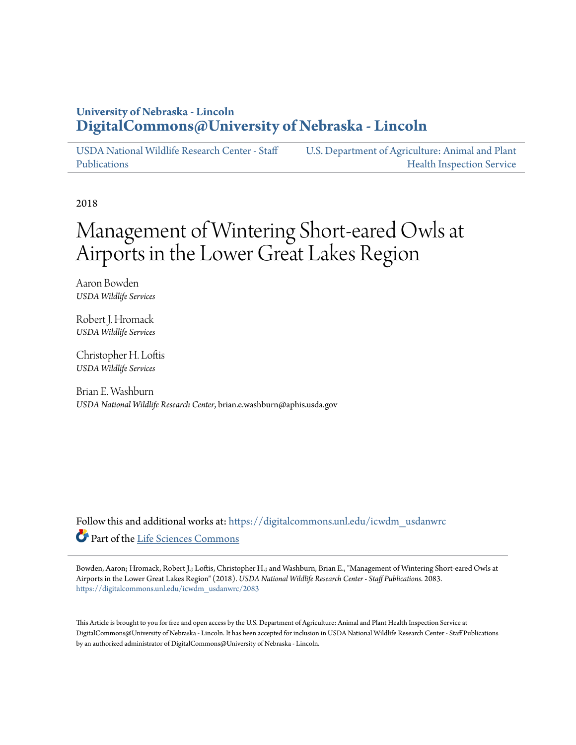# **University of Nebraska - Lincoln [DigitalCommons@University of Nebraska - Lincoln](https://digitalcommons.unl.edu?utm_source=digitalcommons.unl.edu%2Ficwdm_usdanwrc%2F2083&utm_medium=PDF&utm_campaign=PDFCoverPages)**

[USDA National Wildlife Research Center - Staff](https://digitalcommons.unl.edu/icwdm_usdanwrc?utm_source=digitalcommons.unl.edu%2Ficwdm_usdanwrc%2F2083&utm_medium=PDF&utm_campaign=PDFCoverPages) [Publications](https://digitalcommons.unl.edu/icwdm_usdanwrc?utm_source=digitalcommons.unl.edu%2Ficwdm_usdanwrc%2F2083&utm_medium=PDF&utm_campaign=PDFCoverPages) [U.S. Department of Agriculture: Animal and Plant](https://digitalcommons.unl.edu/usdaaphis?utm_source=digitalcommons.unl.edu%2Ficwdm_usdanwrc%2F2083&utm_medium=PDF&utm_campaign=PDFCoverPages) [Health Inspection Service](https://digitalcommons.unl.edu/usdaaphis?utm_source=digitalcommons.unl.edu%2Ficwdm_usdanwrc%2F2083&utm_medium=PDF&utm_campaign=PDFCoverPages)

2018

# Management of Wintering Short-eared Owls at Airports in the Lower Great Lakes Region

Aaron Bowden *USDA Wildlife Services*

Robert J. Hromack *USDA Wildlife Services*

Christopher H. Loftis *USDA Wildlife Services*

Brian E. Washburn *USDA National Wildlife Research Center*, brian.e.washburn@aphis.usda.gov

Follow this and additional works at: [https://digitalcommons.unl.edu/icwdm\\_usdanwrc](https://digitalcommons.unl.edu/icwdm_usdanwrc?utm_source=digitalcommons.unl.edu%2Ficwdm_usdanwrc%2F2083&utm_medium=PDF&utm_campaign=PDFCoverPages) Part of the [Life Sciences Commons](http://network.bepress.com/hgg/discipline/1016?utm_source=digitalcommons.unl.edu%2Ficwdm_usdanwrc%2F2083&utm_medium=PDF&utm_campaign=PDFCoverPages)

Bowden, Aaron; Hromack, Robert J.; Loftis, Christopher H.; and Washburn, Brian E., "Management of Wintering Short-eared Owls at Airports in the Lower Great Lakes Region" (2018). *USDA National Wildlife Research Center - Staff Publications*. 2083. [https://digitalcommons.unl.edu/icwdm\\_usdanwrc/2083](https://digitalcommons.unl.edu/icwdm_usdanwrc/2083?utm_source=digitalcommons.unl.edu%2Ficwdm_usdanwrc%2F2083&utm_medium=PDF&utm_campaign=PDFCoverPages)

This Article is brought to you for free and open access by the U.S. Department of Agriculture: Animal and Plant Health Inspection Service at DigitalCommons@University of Nebraska - Lincoln. It has been accepted for inclusion in USDA National Wildlife Research Center - Staff Publications by an authorized administrator of DigitalCommons@University of Nebraska - Lincoln.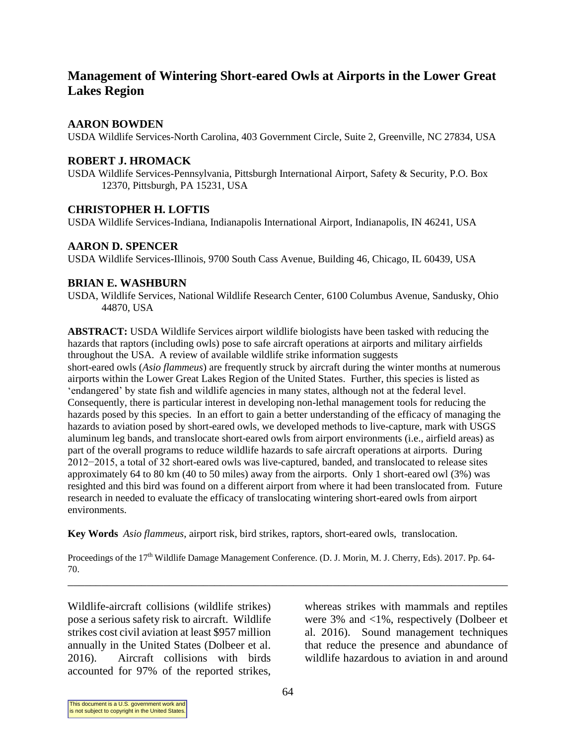# **Management of Wintering Short-eared Owls at Airports in the Lower Great Lakes Region**

# **AARON BOWDEN**

USDA Wildlife Services-North Carolina, 403 Government Circle, Suite 2, Greenville, NC 27834, USA

#### **ROBERT J. HROMACK**

USDA Wildlife Services-Pennsylvania, Pittsburgh International Airport, Safety & Security, P.O. Box 12370, Pittsburgh, PA 15231, USA

#### **CHRISTOPHER H. LOFTIS**

USDA Wildlife Services-Indiana, Indianapolis International Airport, Indianapolis, IN 46241, USA

# **AARON D. SPENCER**

USDA Wildlife Services-Illinois, 9700 South Cass Avenue, Building 46, Chicago, IL 60439, USA

#### **BRIAN E. WASHBURN**

USDA, Wildlife Services, National Wildlife Research Center, 6100 Columbus Avenue, Sandusky, Ohio 44870, USA

**ABSTRACT:** USDA Wildlife Services airport wildlife biologists have been tasked with reducing the hazards that raptors (including owls) pose to safe aircraft operations at airports and military airfields throughout the USA. A review of available wildlife strike information suggests short-eared owls (*Asio flammeus*) are frequently struck by aircraft during the winter months at numerous airports within the Lower Great Lakes Region of the United States. Further, this species is listed as 'endangered' by state fish and wildlife agencies in many states, although not at the federal level. Consequently, there is particular interest in developing non-lethal management tools for reducing the hazards posed by this species. In an effort to gain a better understanding of the efficacy of managing the hazards to aviation posed by short-eared owls, we developed methods to live-capture, mark with USGS aluminum leg bands, and translocate short-eared owls from airport environments (i.e., airfield areas) as part of the overall programs to reduce wildlife hazards to safe aircraft operations at airports. During 2012−2015, a total of 32 short-eared owls was live-captured, banded, and translocated to release sites approximately 64 to 80 km (40 to 50 miles) away from the airports. Only 1 short-eared owl (3%) was resighted and this bird was found on a different airport from where it had been translocated from. Future research in needed to evaluate the efficacy of translocating wintering short-eared owls from airport environments.

**Key Words** *Asio flammeus*, airport risk, bird strikes, raptors, short-eared owls, translocation.

Proceedings of the 17<sup>th</sup> Wildlife Damage Management Conference. (D. J. Morin, M. J. Cherry, Eds). 2017. Pp. 64-70.

\_\_\_\_\_\_\_\_\_\_\_\_\_\_\_\_\_\_\_\_\_\_\_\_\_\_\_\_\_\_\_\_\_\_\_\_\_\_\_\_\_\_\_\_\_\_\_\_\_\_\_\_\_\_\_\_\_\_\_\_\_\_\_\_\_\_\_\_\_\_\_\_\_\_\_\_\_\_

Wildlife-aircraft collisions (wildlife strikes) pose a serious safety risk to aircraft. Wildlife strikes cost civil aviation at least \$957 million annually in the United States (Dolbeer et al. 2016). Aircraft collisions with birds accounted for 97% of the reported strikes,

whereas strikes with mammals and reptiles were 3% and <1%, respectively (Dolbeer et al. 2016). Sound management techniques that reduce the presence and abundance of wildlife hazardous to aviation in and around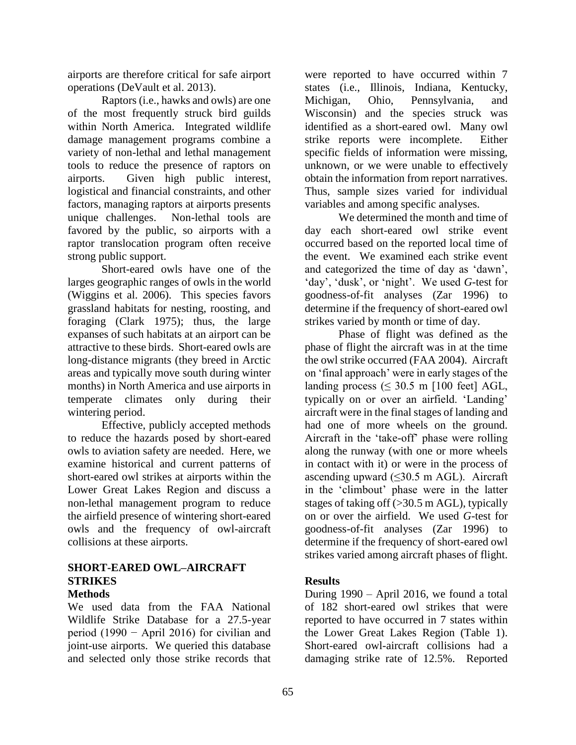airports are therefore critical for safe airport operations (DeVault et al. 2013).

Raptors (i.e., hawks and owls) are one of the most frequently struck bird guilds within North America. Integrated wildlife damage management programs combine a variety of non-lethal and lethal management tools to reduce the presence of raptors on airports. Given high public interest, logistical and financial constraints, and other factors, managing raptors at airports presents unique challenges. Non-lethal tools are favored by the public, so airports with a raptor translocation program often receive strong public support.

Short-eared owls have one of the larges geographic ranges of owls in the world (Wiggins et al. 2006). This species favors grassland habitats for nesting, roosting, and foraging (Clark 1975); thus, the large expanses of such habitats at an airport can be attractive to these birds. Short-eared owls are long-distance migrants (they breed in Arctic areas and typically move south during winter months) in North America and use airports in temperate climates only during their wintering period.

Effective, publicly accepted methods to reduce the hazards posed by short-eared owls to aviation safety are needed. Here, we examine historical and current patterns of short-eared owl strikes at airports within the Lower Great Lakes Region and discuss a non-lethal management program to reduce the airfield presence of wintering short-eared owls and the frequency of owl-aircraft collisions at these airports.

# **SHORT-EARED OWL–AIRCRAFT STRIKES**

#### **Methods**

We used data from the FAA National Wildlife Strike Database for a 27.5-year period (1990 − April 2016) for civilian and joint-use airports. We queried this database and selected only those strike records that

were reported to have occurred within 7 states (i.e., Illinois, Indiana, Kentucky, Michigan, Ohio, Pennsylvania, and Wisconsin) and the species struck was identified as a short-eared owl. Many owl strike reports were incomplete. Either specific fields of information were missing, unknown, or we were unable to effectively obtain the information from report narratives. Thus, sample sizes varied for individual variables and among specific analyses.

We determined the month and time of day each short-eared owl strike event occurred based on the reported local time of the event. We examined each strike event and categorized the time of day as 'dawn', 'day', 'dusk', or 'night'. We used *G*-test for goodness-of-fit analyses (Zar 1996) to determine if the frequency of short-eared owl strikes varied by month or time of day.

Phase of flight was defined as the phase of flight the aircraft was in at the time the owl strike occurred (FAA 2004). Aircraft on 'final approach' were in early stages of the landing process ( $\leq$  30.5 m [100 feet] AGL, typically on or over an airfield. 'Landing' aircraft were in the final stages of landing and had one of more wheels on the ground. Aircraft in the 'take-off' phase were rolling along the runway (with one or more wheels in contact with it) or were in the process of ascending upward (≤30.5 m AGL). Aircraft in the 'climbout' phase were in the latter stages of taking off (>30.5 m AGL), typically on or over the airfield. We used *G*-test for goodness-of-fit analyses (Zar 1996) to determine if the frequency of short-eared owl strikes varied among aircraft phases of flight.

# **Results**

During 1990 – April 2016, we found a total of 182 short-eared owl strikes that were reported to have occurred in 7 states within the Lower Great Lakes Region (Table 1). Short-eared owl-aircraft collisions had a damaging strike rate of 12.5%. Reported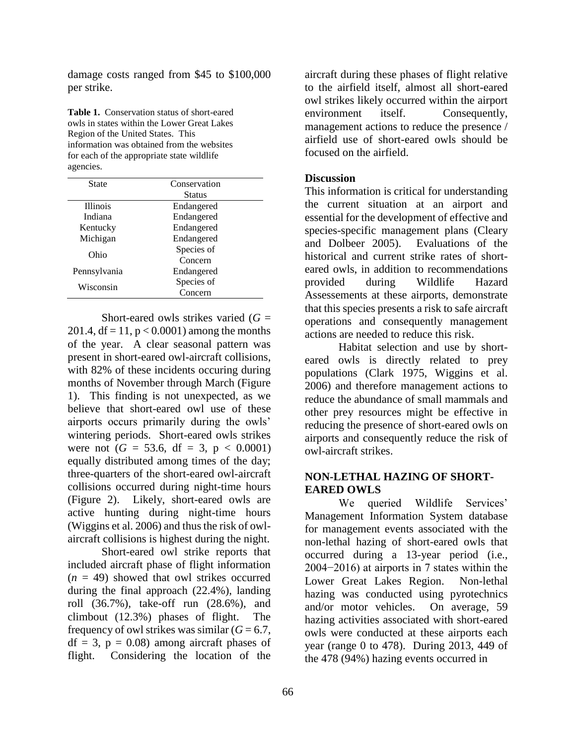damage costs ranged from \$45 to \$100,000 per strike.

**Table 1.** Conservation status of short-eared owls in states within the Lower Great Lakes Region of the United States. This information was obtained from the websites for each of the appropriate state wildlife agencies.

| <b>State</b>    | Conservation  |  |
|-----------------|---------------|--|
|                 | <b>Status</b> |  |
| <b>Illinois</b> | Endangered    |  |
| Indiana         | Endangered    |  |
| Kentucky        | Endangered    |  |
| Michigan        | Endangered    |  |
| Ohio            | Species of    |  |
|                 | Concern       |  |
| Pennsylvania    | Endangered    |  |
| Wisconsin       | Species of    |  |
|                 | Concern       |  |

Short-eared owls strikes varied  $(G =$ 201.4, df = 11,  $p < 0.0001$ ) among the months of the year. A clear seasonal pattern was present in short-eared owl-aircraft collisions, with 82% of these incidents occuring during months of November through March (Figure 1). This finding is not unexpected, as we believe that short-eared owl use of these airports occurs primarily during the owls' wintering periods. Short-eared owls strikes were not  $(G = 53.6, df = 3, p < 0.0001)$ equally distributed among times of the day; three-quarters of the short-eared owl-aircraft collisions occurred during night-time hours (Figure 2). Likely, short-eared owls are active hunting during night-time hours (Wiggins et al. 2006) and thus the risk of owlaircraft collisions is highest during the night.

Short-eared owl strike reports that included aircraft phase of flight information  $(n = 49)$  showed that owl strikes occurred during the final approach (22.4%), landing roll (36.7%), take-off run (28.6%), and climbout (12.3%) phases of flight. The frequency of owl strikes was similar  $(G = 6.7)$ ,  $df = 3$ ,  $p = 0.08$ ) among aircraft phases of flight. Considering the location of the

aircraft during these phases of flight relative to the airfield itself, almost all short-eared owl strikes likely occurred within the airport environment itself. Consequently, management actions to reduce the presence / airfield use of short-eared owls should be focused on the airfield.

#### **Discussion**

This information is critical for understanding the current situation at an airport and essential for the development of effective and species-specific management plans (Cleary and Dolbeer 2005). Evaluations of the historical and current strike rates of shorteared owls, in addition to recommendations provided during Wildlife Hazard Assessements at these airports, demonstrate that this species presents a risk to safe aircraft operations and consequently management actions are needed to reduce this risk.

Habitat selection and use by shorteared owls is directly related to prey populations (Clark 1975, Wiggins et al. 2006) and therefore management actions to reduce the abundance of small mammals and other prey resources might be effective in reducing the presence of short-eared owls on airports and consequently reduce the risk of owl-aircraft strikes.

# **NON-LETHAL HAZING OF SHORT-EARED OWLS**

We queried Wildlife Services' Management Information System database for management events associated with the non-lethal hazing of short-eared owls that occurred during a 13-year period (i.e., 2004−2016) at airports in 7 states within the Lower Great Lakes Region. Non-lethal hazing was conducted using pyrotechnics and/or motor vehicles. On average, 59 hazing activities associated with short-eared owls were conducted at these airports each year (range 0 to 478). During 2013, 449 of the 478 (94%) hazing events occurred in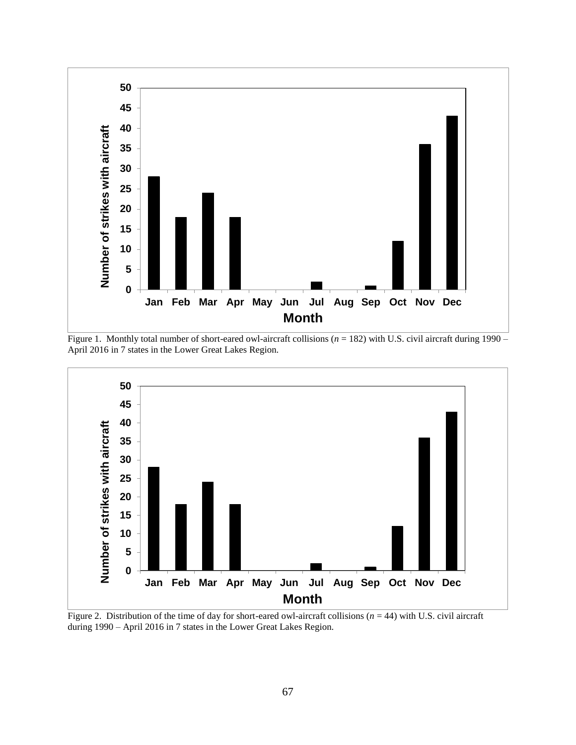

Figure 1. Monthly total number of short-eared owl-aircraft collisions (*n* = 182) with U.S. civil aircraft during 1990 – April 2016 in 7 states in the Lower Great Lakes Region.



Figure 2. Distribution of the time of day for short-eared owl-aircraft collisions (*n* = 44) with U.S. civil aircraft during 1990 – April 2016 in 7 states in the Lower Great Lakes Region.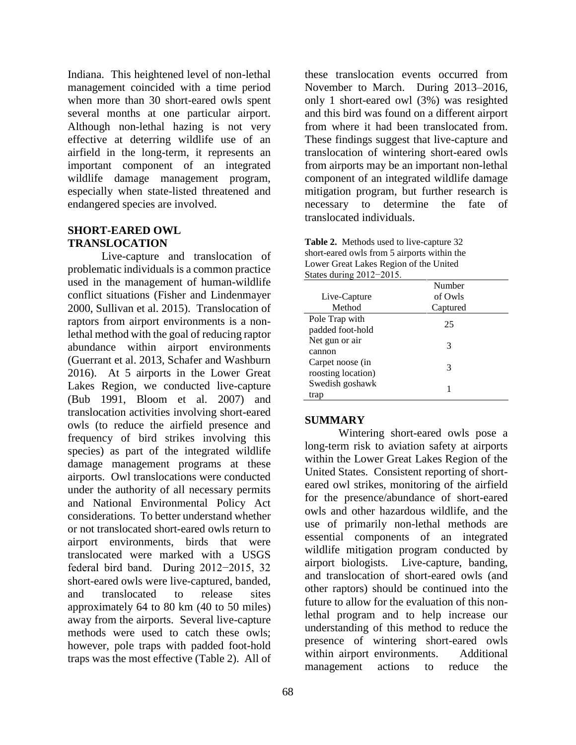Indiana. This heightened level of non-lethal management coincided with a time period when more than 30 short-eared owls spent several months at one particular airport. Although non-lethal hazing is not very effective at deterring wildlife use of an airfield in the long-term, it represents an important component of an integrated wildlife damage management program, especially when state-listed threatened and endangered species are involved.

# **SHORT-EARED OWL TRANSLOCATION**

Live-capture and translocation of problematic individuals is a common practice used in the management of human-wildlife conflict situations (Fisher and Lindenmayer 2000, Sullivan et al. 2015). Translocation of raptors from airport environments is a nonlethal method with the goal of reducing raptor abundance within airport environments (Guerrant et al. 2013, Schafer and Washburn 2016). At 5 airports in the Lower Great Lakes Region, we conducted live-capture (Bub 1991, Bloom et al. 2007) and translocation activities involving short-eared owls (to reduce the airfield presence and frequency of bird strikes involving this species) as part of the integrated wildlife damage management programs at these airports. Owl translocations were conducted under the authority of all necessary permits and National Environmental Policy Act considerations. To better understand whether or not translocated short-eared owls return to airport environments, birds that were translocated were marked with a USGS federal bird band. During 2012−2015, 32 short-eared owls were live-captured, banded, and translocated to release sites approximately 64 to 80 km (40 to 50 miles) away from the airports. Several live-capture methods were used to catch these owls; however, pole traps with padded foot-hold traps was the most effective (Table 2). All of

68

these translocation events occurred from November to March. During 2013–2016, only 1 short-eared owl (3%) was resighted and this bird was found on a different airport from where it had been translocated from. These findings suggest that live-capture and translocation of wintering short-eared owls from airports may be an important non-lethal component of an integrated wildlife damage mitigation program, but further research is necessary to determine the fate of translocated individuals.

| Table 2. Methods used to live-capture 32    |  |  |
|---------------------------------------------|--|--|
| short-eared owls from 5 airports within the |  |  |
| Lower Great Lakes Region of the United      |  |  |
| States during $2012 - 2015$ .               |  |  |

| States during $2012$ $2013$ .          |          |
|----------------------------------------|----------|
|                                        | Number   |
| Live-Capture                           | of Owls  |
| Method                                 | Captured |
| Pole Trap with<br>padded foot-hold     | 25       |
| Net gun or air<br>cannon               | 3        |
| Carpet noose (in<br>roosting location) | 3        |
| Swedish goshawk<br>trap                |          |

# **SUMMARY**

Wintering short-eared owls pose a long-term risk to aviation safety at airports within the Lower Great Lakes Region of the United States. Consistent reporting of shorteared owl strikes, monitoring of the airfield for the presence/abundance of short-eared owls and other hazardous wildlife, and the use of primarily non-lethal methods are essential components of an integrated wildlife mitigation program conducted by airport biologists. Live-capture, banding, and translocation of short-eared owls (and other raptors) should be continued into the future to allow for the evaluation of this nonlethal program and to help increase our understanding of this method to reduce the presence of wintering short-eared owls within airport environments. Additional management actions to reduce the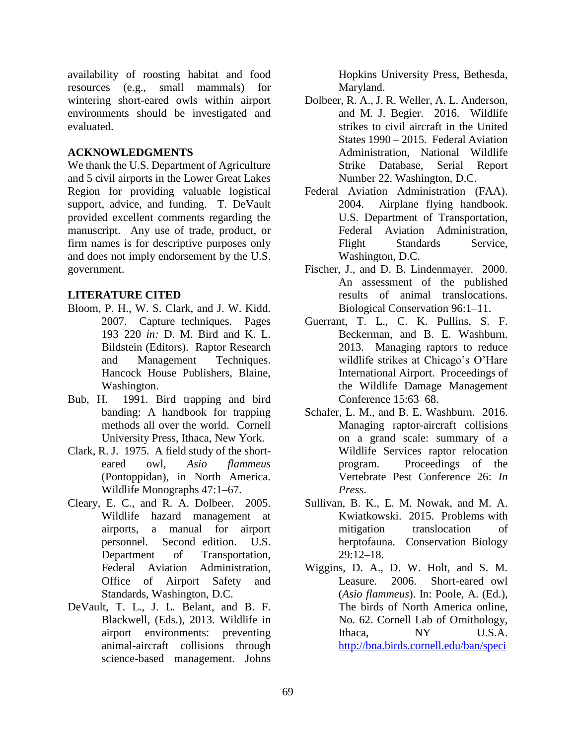availability of roosting habitat and food resources (e.g., small mammals) for wintering short-eared owls within airport environments should be investigated and evaluated.

# **ACKNOWLEDGMENTS**

We thank the U.S. Department of Agriculture and 5 civil airports in the Lower Great Lakes Region for providing valuable logistical support, advice, and funding. T. DeVault provided excellent comments regarding the manuscript. Any use of trade, product, or firm names is for descriptive purposes only and does not imply endorsement by the U.S. government.

# **LITERATURE CITED**

- Bloom, P. H., W. S. Clark, and J. W. Kidd. 2007. Capture techniques. Pages 193–220 *in:* D. M. Bird and K. L. Bildstein (Editors). Raptor Research and Management Techniques. Hancock House Publishers, Blaine, Washington.
- Bub, H. 1991. Bird trapping and bird banding: A handbook for trapping methods all over the world. Cornell University Press, Ithaca, New York.
- Clark, R. J. 1975. A field study of the shorteared owl, *Asio flammeus* (Pontoppidan), in North America. Wildlife Monographs 47:1–67.
- Cleary, E. C., and R. A. Dolbeer. 2005. Wildlife hazard management at airports, a manual for airport personnel. Second edition. U.S. Department of Transportation, Federal Aviation Administration, Office of Airport Safety and Standards, Washington, D.C.
- DeVault, T. L., J. L. Belant, and B. F. Blackwell, (Eds.), 2013. Wildlife in airport environments: preventing animal-aircraft collisions through science-based management. Johns

Hopkins University Press, Bethesda, Maryland.

- Dolbeer, R. A., J. R. Weller, A. L. Anderson, and M. J. Begier. 2016. Wildlife strikes to civil aircraft in the United States 1990 – 2015. Federal Aviation Administration, National Wildlife Strike Database, Serial Report Number 22. Washington, D.C.
- Federal Aviation Administration (FAA). 2004. Airplane flying handbook. U.S. Department of Transportation, Federal Aviation Administration, Flight Standards Service, Washington, D.C.
- Fischer, J., and D. B. Lindenmayer. 2000. An assessment of the published results of animal translocations. Biological Conservation 96:1–11.
- Guerrant, T. L., C. K. Pullins, S. F. Beckerman, and B. E. Washburn. 2013. Managing raptors to reduce wildlife strikes at Chicago's O'Hare International Airport. Proceedings of the Wildlife Damage Management Conference 15:63–68.
- Schafer, L. M., and B. E. Washburn. 2016. Managing raptor-aircraft collisions on a grand scale: summary of a Wildlife Services raptor relocation program. Proceedings of the Vertebrate Pest Conference 26: *In Press*.
- Sullivan, B. K., E. M. Nowak, and M. A. Kwiatkowski. 2015. Problems with mitigation translocation of herptofauna. Conservation Biology 29:12–18.
- Wiggins, D. A., D. W. Holt, and S. M. Leasure. 2006. Short-eared owl (*Asio flammeus*). In: Poole, A. (Ed.), The birds of North America online, No. 62. Cornell Lab of Ornithology, Ithaca,  $NY$  U.S.A. [http://bna.birds.cornell.edu/ban/speci](http://bna.birds.cornell.edu/ban/species/062)